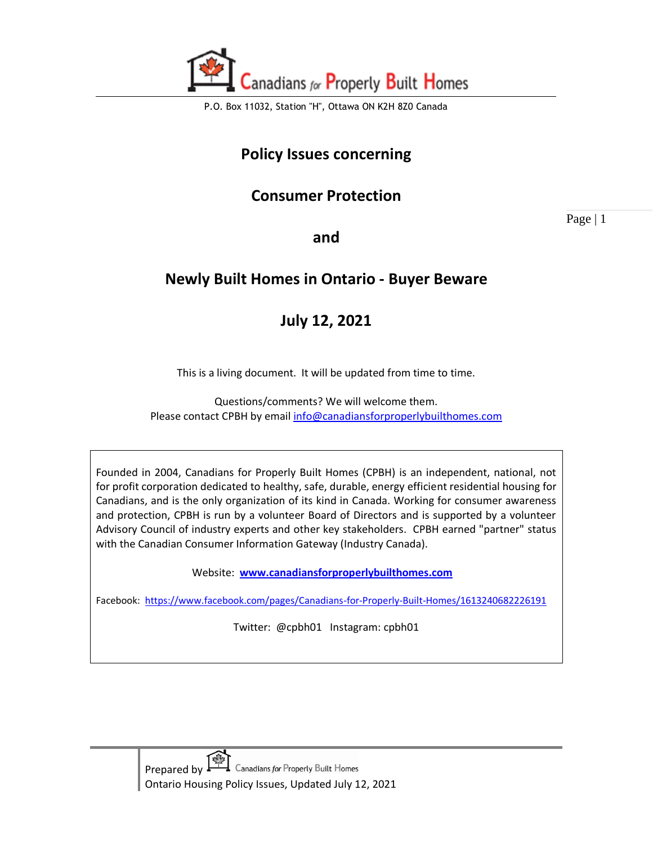

### **Policy Issues concerning**

### **Consumer Protection**

Page | 1

**and** 

# **Newly Built Homes in Ontario - Buyer Beware**

# **July 12, 2021**

This is a living document. It will be updated from time to time.

Questions/comments? We will welcome them. Please contact CPBH by email [info@canadiansforproperlybuilthomes.com](mailto:info@canadiansforproperlybuilthomes.com)

Founded in 2004, Canadians for Properly Built Homes (CPBH) is an independent, national, not for profit corporation dedicated to healthy, safe, durable, energy efficient residential housing for Canadians, and is the only organization of its kind in Canada. Working for consumer awareness and protection, CPBH is run by a volunteer Board of Directors and is supported by a volunteer Advisory Council of industry experts and other key stakeholders. CPBH earned "partner" status with the Canadian Consumer Information Gateway (Industry Canada).

Website: **[www.canadiansforproperlybuilthomes.com](http://www.canadiansforproperlybuilthomes.com/)**

Facebook: <https://www.facebook.com/pages/Canadians-for-Properly-Built-Homes/1613240682226191>

Twitter: @cpbh01 Instagram: cpbh01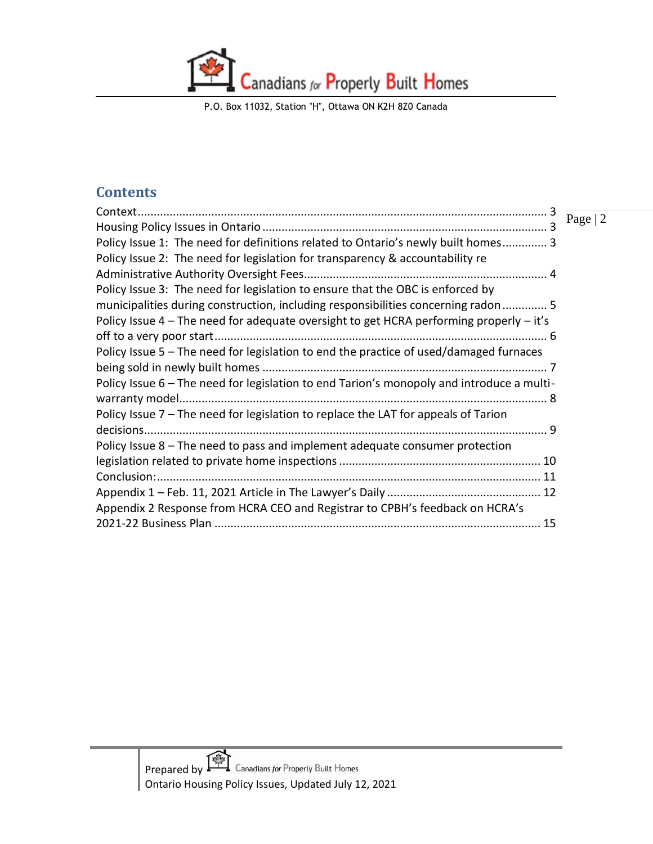P.O. Box 11032, Station "H", Ottawa ON K2H 8Z0 Canada

#### **Contents**

|                                                                                           | Page   2 |
|-------------------------------------------------------------------------------------------|----------|
| Policy Issue 1: The need for definitions related to Ontario's newly built homes 3         |          |
| Policy Issue 2: The need for legislation for transparency & accountability re             |          |
|                                                                                           |          |
| Policy Issue 3: The need for legislation to ensure that the OBC is enforced by            |          |
| municipalities during construction, including responsibilities concerning radon  5        |          |
| Policy Issue 4 – The need for adequate oversight to get HCRA performing properly – it's   |          |
|                                                                                           |          |
| Policy Issue 5 – The need for legislation to end the practice of used/damaged furnaces    |          |
|                                                                                           |          |
| Policy Issue 6 - The need for legislation to end Tarion's monopoly and introduce a multi- |          |
|                                                                                           |          |
| Policy Issue 7 - The need for legislation to replace the LAT for appeals of Tarion        |          |
|                                                                                           |          |
| Policy Issue 8 - The need to pass and implement adequate consumer protection              |          |
|                                                                                           |          |
|                                                                                           |          |
|                                                                                           |          |
| Appendix 2 Response from HCRA CEO and Registrar to CPBH's feedback on HCRA's              |          |
|                                                                                           |          |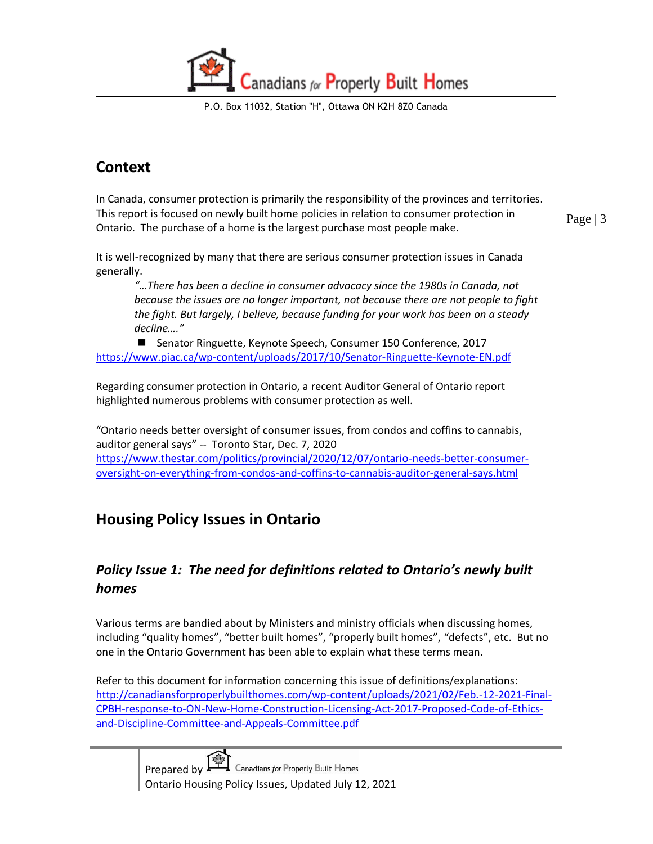P.O. Box 11032, Station "H", Ottawa ON K2H 8Z0 Canada

# <span id="page-2-0"></span>**Context**

In Canada, consumer protection is primarily the responsibility of the provinces and territories. This report is focused on newly built home policies in relation to consumer protection in Ontario. The purchase of a home is the largest purchase most people make.

Page | 3

It is well-recognized by many that there are serious consumer protection issues in Canada generally.

*"…There has been a decline in consumer advocacy since the 1980s in Canada, not because the issues are no longer important, not because there are not people to fight the fight. But largely, I believe, because funding for your work has been on a steady decline…."* 

■ Senator Ringuette, Keynote Speech, Consumer 150 Conference, 2017 <https://www.piac.ca/wp-content/uploads/2017/10/Senator-Ringuette-Keynote-EN.pdf>

Regarding consumer protection in Ontario, a recent Auditor General of Ontario report highlighted numerous problems with consumer protection as well.

"Ontario needs better oversight of consumer issues, from condos and coffins to cannabis, auditor general says" -- Toronto Star, Dec. 7, 2020 [https://www.thestar.com/politics/provincial/2020/12/07/ontario-needs-better-consumer](https://www.thestar.com/politics/provincial/2020/12/07/ontario-needs-better-consumer-oversight-on-everything-from-condos-and-coffins-to-cannabis-auditor-general-says.html)[oversight-on-everything-from-condos-and-coffins-to-cannabis-auditor-general-says.html](https://www.thestar.com/politics/provincial/2020/12/07/ontario-needs-better-consumer-oversight-on-everything-from-condos-and-coffins-to-cannabis-auditor-general-says.html)

# <span id="page-2-1"></span>**Housing Policy Issues in Ontario**

#### <span id="page-2-2"></span>*Policy Issue 1: The need for definitions related to Ontario's newly built homes*

Various terms are bandied about by Ministers and ministry officials when discussing homes, including "quality homes", "better built homes", "properly built homes", "defects", etc. But no one in the Ontario Government has been able to explain what these terms mean.

Refer to this document for information concerning this issue of definitions/explanations: [http://canadiansforproperlybuilthomes.com/wp-content/uploads/2021/02/Feb.-12-2021-Final-](http://canadiansforproperlybuilthomes.com/wp-content/uploads/2021/02/Feb.-12-2021-Final-CPBH-response-to-ON-New-Home-Construction-Licensing-Act-2017-Proposed-Code-of-Ethics-and-Discipline-Committee-and-Appeals-Committee.pdf)[CPBH-response-to-ON-New-Home-Construction-Licensing-Act-2017-Proposed-Code-of-Ethics](http://canadiansforproperlybuilthomes.com/wp-content/uploads/2021/02/Feb.-12-2021-Final-CPBH-response-to-ON-New-Home-Construction-Licensing-Act-2017-Proposed-Code-of-Ethics-and-Discipline-Committee-and-Appeals-Committee.pdf)[and-Discipline-Committee-and-Appeals-Committee.pdf](http://canadiansforproperlybuilthomes.com/wp-content/uploads/2021/02/Feb.-12-2021-Final-CPBH-response-to-ON-New-Home-Construction-Licensing-Act-2017-Proposed-Code-of-Ethics-and-Discipline-Committee-and-Appeals-Committee.pdf)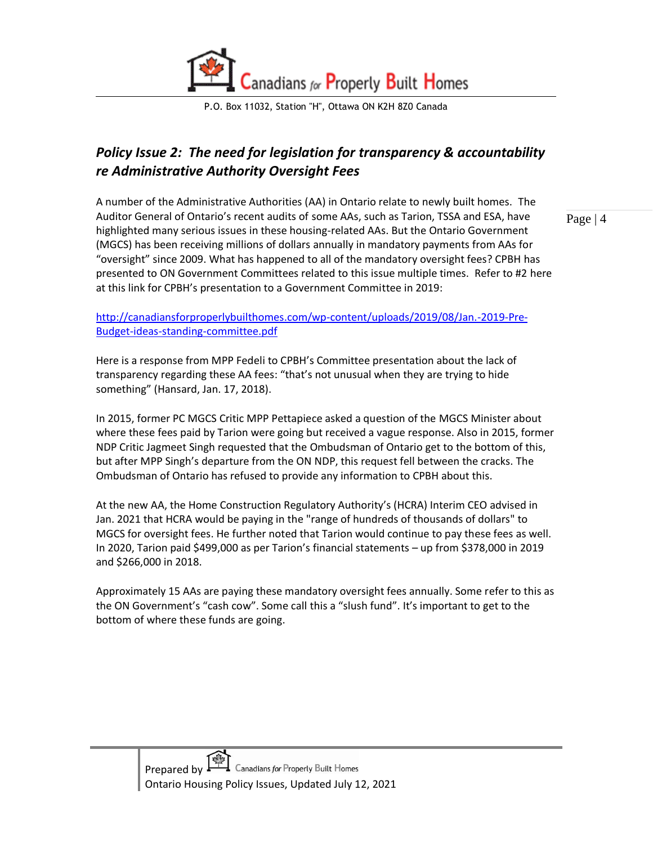

#### <span id="page-3-0"></span>*Policy Issue 2: The need for legislation for transparency & accountability re Administrative Authority Oversight Fees*

A number of the Administrative Authorities (AA) in Ontario relate to newly built homes. The Auditor General of Ontario's recent audits of some AAs, such as Tarion, TSSA and ESA, have highlighted many serious issues in these housing-related AAs. But the Ontario Government (MGCS) has been receiving millions of dollars annually in mandatory payments from AAs for "oversight" since 2009. What has happened to all of the mandatory oversight fees? CPBH has presented to ON Government Committees related to this issue multiple times. Refer to #2 here at this link for CPBH's presentation to a Government Committee in 2019:

[http://canadiansforproperlybuilthomes.com/wp-content/uploads/2019/08/Jan.-2019-Pre-](http://canadiansforproperlybuilthomes.com/wp-content/uploads/2019/08/Jan.-2019-Pre-Budget-ideas-standing-committee.pdf)[Budget-ideas-standing-committee.pdf](http://canadiansforproperlybuilthomes.com/wp-content/uploads/2019/08/Jan.-2019-Pre-Budget-ideas-standing-committee.pdf)

Here is a response from MPP Fedeli to CPBH's Committee presentation about the lack of transparency regarding these AA fees: "that's not unusual when they are trying to hide something" (Hansard, Jan. 17, 2018).

In 2015, former PC MGCS Critic MPP Pettapiece asked a question of the MGCS Minister about where these fees paid by Tarion were going but received a vague response. Also in 2015, former NDP Critic Jagmeet Singh requested that the Ombudsman of Ontario get to the bottom of this, but after MPP Singh's departure from the ON NDP, this request fell between the cracks. The Ombudsman of Ontario has refused to provide any information to CPBH about this.

At the new AA, the Home Construction Regulatory Authority's (HCRA) Interim CEO advised in Jan. 2021 that HCRA would be paying in the "range of hundreds of thousands of dollars" to MGCS for oversight fees. He further noted that Tarion would continue to pay these fees as well. In 2020, Tarion paid \$499,000 as per Tarion's financial statements – up from \$378,000 in 2019 and \$266,000 in 2018.

Approximately 15 AAs are paying these mandatory oversight fees annually. Some refer to this as the ON Government's "cash cow". Some call this a "slush fund". It's important to get to the bottom of where these funds are going.

Page | 4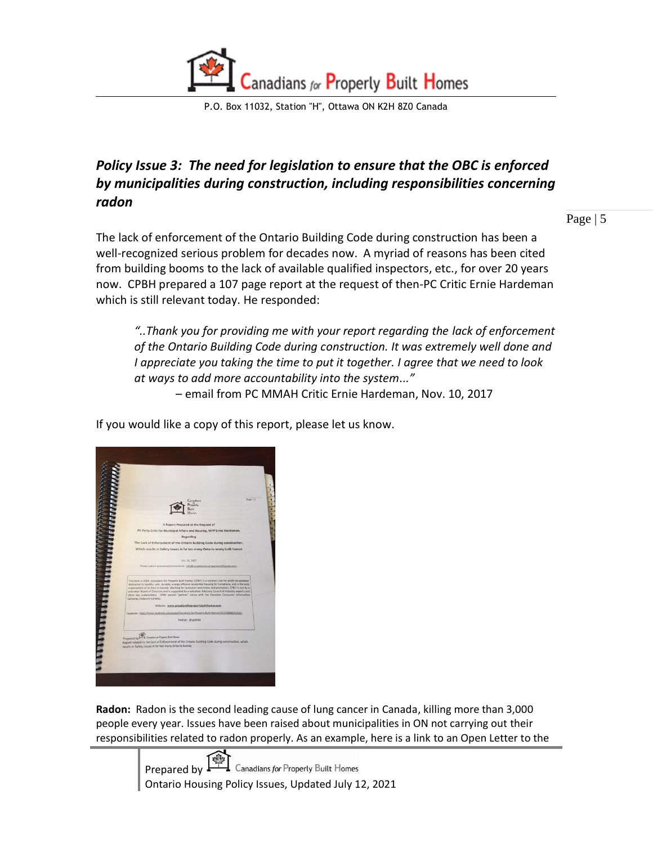

#### <span id="page-4-0"></span>*Policy Issue 3: The need for legislation to ensure that the OBC is enforced by municipalities during construction, including responsibilities concerning radon*

Page | 5

The lack of enforcement of the Ontario Building Code during construction has been a well-recognized serious problem for decades now. A myriad of reasons has been cited from building booms to the lack of available qualified inspectors, etc., for over 20 years now. CPBH prepared a 107 page report at the request of then-PC Critic Ernie Hardeman which is still relevant today. He responded:

*"..Thank you for providing me with your report regarding the lack of enforcement of the Ontario Building Code during construction. It was extremely well done and I appreciate you taking the time to put it together. I agree that we need to look at ways to add more accountability into the system..."*

– email from PC MMAH Critic Ernie Hardeman, Nov. 10, 2017

If you would like a copy of this report, please let us know.

| anaana                |                                                                                                                                                                                                                                                                                                                                                                                                                                                                                                                                                               |          |
|-----------------------|---------------------------------------------------------------------------------------------------------------------------------------------------------------------------------------------------------------------------------------------------------------------------------------------------------------------------------------------------------------------------------------------------------------------------------------------------------------------------------------------------------------------------------------------------------------|----------|
|                       | Canadians                                                                                                                                                                                                                                                                                                                                                                                                                                                                                                                                                     | Page   1 |
|                       | Property                                                                                                                                                                                                                                                                                                                                                                                                                                                                                                                                                      |          |
|                       | <b><i><u>Englisher</u></i></b>                                                                                                                                                                                                                                                                                                                                                                                                                                                                                                                                |          |
|                       |                                                                                                                                                                                                                                                                                                                                                                                                                                                                                                                                                               |          |
|                       | A Report Prepared at the Request of                                                                                                                                                                                                                                                                                                                                                                                                                                                                                                                           |          |
|                       | PC Party Critic for Municipal Affairs and Housing, MPP Ernie Hardeman,                                                                                                                                                                                                                                                                                                                                                                                                                                                                                        |          |
|                       | <b>Regarding</b>                                                                                                                                                                                                                                                                                                                                                                                                                                                                                                                                              |          |
|                       | The Lack of Enforcement of the Ontario Building Code during construction,                                                                                                                                                                                                                                                                                                                                                                                                                                                                                     |          |
|                       | Which results in Safety Issues in far too many Ontario newly built homes                                                                                                                                                                                                                                                                                                                                                                                                                                                                                      |          |
|                       |                                                                                                                                                                                                                                                                                                                                                                                                                                                                                                                                                               |          |
|                       | Oct. 11, 2017                                                                                                                                                                                                                                                                                                                                                                                                                                                                                                                                                 |          |
|                       | Please submit questions/comments to: info@canadiansforproperlybuilthomes.com -                                                                                                                                                                                                                                                                                                                                                                                                                                                                                |          |
| <b>THEFT REPORTED</b> | Founded in 2004, Canadians for Properly Built Homes (CPBH) is a national, not for profit corporation<br>dedicated to healthy, safe, durable, energy efficient residential housing for Canadians, and is the only<br>organization of its kind in Canada. Working for consumer awareness and protection, CPBH is run by a<br>volunteer Board of Directors and is supported by a volunteer Advisory Council of Industry experts and<br>other key stakeholders. CPBH earned "partner" status with the Canadian Consumer Information<br>Gateway (Industry Canada). |          |
|                       | Website: www.canadiansforproperlybuilthomes.com                                                                                                                                                                                                                                                                                                                                                                                                                                                                                                               |          |
|                       | Facebook: https://www.facebook.com/pages/Canadians-for-Property-Built-Homes/1613240682226191                                                                                                                                                                                                                                                                                                                                                                                                                                                                  |          |
|                       | Twitter: @cpbh01                                                                                                                                                                                                                                                                                                                                                                                                                                                                                                                                              |          |
|                       |                                                                                                                                                                                                                                                                                                                                                                                                                                                                                                                                                               |          |
|                       | Prepared by<br>Canadian for Property Built Homes                                                                                                                                                                                                                                                                                                                                                                                                                                                                                                              |          |
|                       | Report related to the Lack of Enforcement of the Ontario Building Code during construction, which<br>results in Safety Issues in far too many Ontario homes                                                                                                                                                                                                                                                                                                                                                                                                   |          |
|                       |                                                                                                                                                                                                                                                                                                                                                                                                                                                                                                                                                               |          |
|                       |                                                                                                                                                                                                                                                                                                                                                                                                                                                                                                                                                               |          |

**Radon:** Radon is the second leading cause of lung cancer in Canada, killing more than 3,000 people every year. Issues have been raised about municipalities in ON not carrying out their responsibilities related to radon properly. As an example, here is a link to an Open Letter to the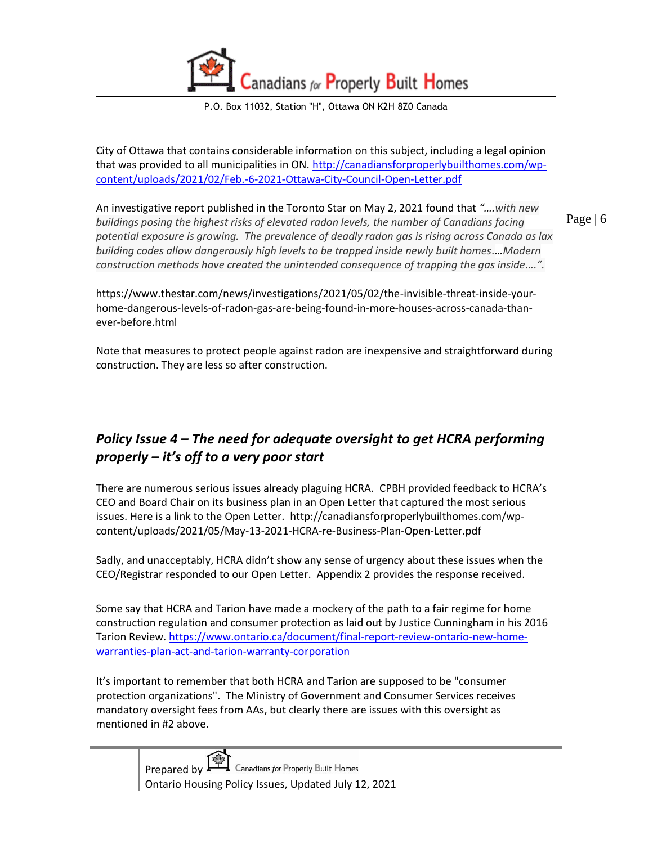P.O. Box 11032, Station "H", Ottawa ON K2H 8Z0 Canada

City of Ottawa that contains considerable information on this subject, including a legal opinion that was provided to all municipalities in ON. [http://canadiansforproperlybuilthomes.com/wp](http://canadiansforproperlybuilthomes.com/wp-content/uploads/2021/02/Feb.-6-2021-Ottawa-City-Council-Open-Letter.pdf)[content/uploads/2021/02/Feb.-6-2021-Ottawa-City-Council-Open-Letter.pdf](http://canadiansforproperlybuilthomes.com/wp-content/uploads/2021/02/Feb.-6-2021-Ottawa-City-Council-Open-Letter.pdf)

An investigative report published in the Toronto Star on May 2, 2021 found that *"….with new*  buildings posing the highest risks of elevated radon levels, the number of Canadians facing *potential exposure is growing. The prevalence of deadly radon gas is rising across Canada as lax building codes allow dangerously high levels to be trapped inside newly built homes.…Modern construction methods have created the unintended consequence of trapping the gas inside….".*

Page | 6

https://www.thestar.com/news/investigations/2021/05/02/the-invisible-threat-inside-yourhome-dangerous-levels-of-radon-gas-are-being-found-in-more-houses-across-canada-thanever-before.html

Note that measures to protect people against radon are inexpensive and straightforward during construction. They are less so after construction.

#### <span id="page-5-0"></span>*Policy Issue 4 – The need for adequate oversight to get HCRA performing properly – it's off to a very poor start*

There are numerous serious issues already plaguing HCRA. CPBH provided feedback to HCRA's CEO and Board Chair on its business plan in an Open Letter that captured the most serious issues. Here is a link to the Open Letter. http://canadiansforproperlybuilthomes.com/wpcontent/uploads/2021/05/May-13-2021-HCRA-re-Business-Plan-Open-Letter.pdf

Sadly, and unacceptably, HCRA didn't show any sense of urgency about these issues when the CEO/Registrar responded to our Open Letter. Appendix 2 provides the response received.

Some say that HCRA and Tarion have made a mockery of the path to a fair regime for home construction regulation and consumer protection as laid out by Justice Cunningham in his 2016 Tarion Review. [https://www.ontario.ca/document/final-report-review-ontario-new-home](https://www.ontario.ca/document/final-report-review-ontario-new-home-warranties-plan-act-and-tarion-warranty-corporation)[warranties-plan-act-and-tarion-warranty-corporation](https://www.ontario.ca/document/final-report-review-ontario-new-home-warranties-plan-act-and-tarion-warranty-corporation)

It's important to remember that both HCRA and Tarion are supposed to be "consumer protection organizations". The Ministry of Government and Consumer Services receives mandatory oversight fees from AAs, but clearly there are issues with this oversight as mentioned in #2 above.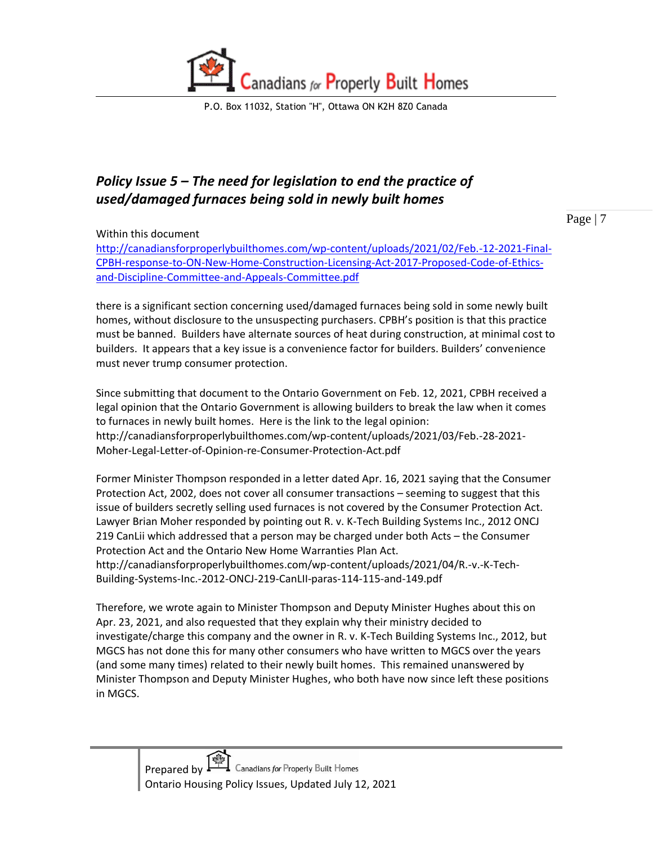

### <span id="page-6-0"></span>*Policy Issue 5 – The need for legislation to end the practice of used/damaged furnaces being sold in newly built homes*

Page | 7

Within this document

[http://canadiansforproperlybuilthomes.com/wp-content/uploads/2021/02/Feb.-12-2021-Final-](http://canadiansforproperlybuilthomes.com/wp-content/uploads/2021/02/Feb.-12-2021-Final-CPBH-response-to-ON-New-Home-Construction-Licensing-Act-2017-Proposed-Code-of-Ethics-and-Discipline-Committee-and-Appeals-Committee.pdf)[CPBH-response-to-ON-New-Home-Construction-Licensing-Act-2017-Proposed-Code-of-Ethics](http://canadiansforproperlybuilthomes.com/wp-content/uploads/2021/02/Feb.-12-2021-Final-CPBH-response-to-ON-New-Home-Construction-Licensing-Act-2017-Proposed-Code-of-Ethics-and-Discipline-Committee-and-Appeals-Committee.pdf)[and-Discipline-Committee-and-Appeals-Committee.pdf](http://canadiansforproperlybuilthomes.com/wp-content/uploads/2021/02/Feb.-12-2021-Final-CPBH-response-to-ON-New-Home-Construction-Licensing-Act-2017-Proposed-Code-of-Ethics-and-Discipline-Committee-and-Appeals-Committee.pdf)

there is a significant section concerning used/damaged furnaces being sold in some newly built homes, without disclosure to the unsuspecting purchasers. CPBH's position is that this practice must be banned. Builders have alternate sources of heat during construction, at minimal cost to builders. It appears that a key issue is a convenience factor for builders. Builders' convenience must never trump consumer protection.

Since submitting that document to the Ontario Government on Feb. 12, 2021, CPBH received a legal opinion that the Ontario Government is allowing builders to break the law when it comes to furnaces in newly built homes. Here is the link to the legal opinion: http://canadiansforproperlybuilthomes.com/wp-content/uploads/2021/03/Feb.-28-2021- Moher-Legal-Letter-of-Opinion-re-Consumer-Protection-Act.pdf

Former Minister Thompson responded in a letter dated Apr. 16, 2021 saying that the Consumer Protection Act, 2002, does not cover all consumer transactions – seeming to suggest that this issue of builders secretly selling used furnaces is not covered by the Consumer Protection Act. Lawyer Brian Moher responded by pointing out R. v. K-Tech Building Systems Inc., 2012 ONCJ 219 CanLii which addressed that a person may be charged under both Acts – the Consumer Protection Act and the Ontario New Home Warranties Plan Act. http://canadiansforproperlybuilthomes.com/wp-content/uploads/2021/04/R.-v.-K-Tech-Building-Systems-Inc.-2012-ONCJ-219-CanLII-paras-114-115-and-149.pdf

Therefore, we wrote again to Minister Thompson and Deputy Minister Hughes about this on Apr. 23, 2021, and also requested that they explain why their ministry decided to investigate/charge this company and the owner in R. v. K-Tech Building Systems Inc., 2012, but MGCS has not done this for many other consumers who have written to MGCS over the years (and some many times) related to their newly built homes. This remained unanswered by Minister Thompson and Deputy Minister Hughes, who both have now since left these positions in MGCS.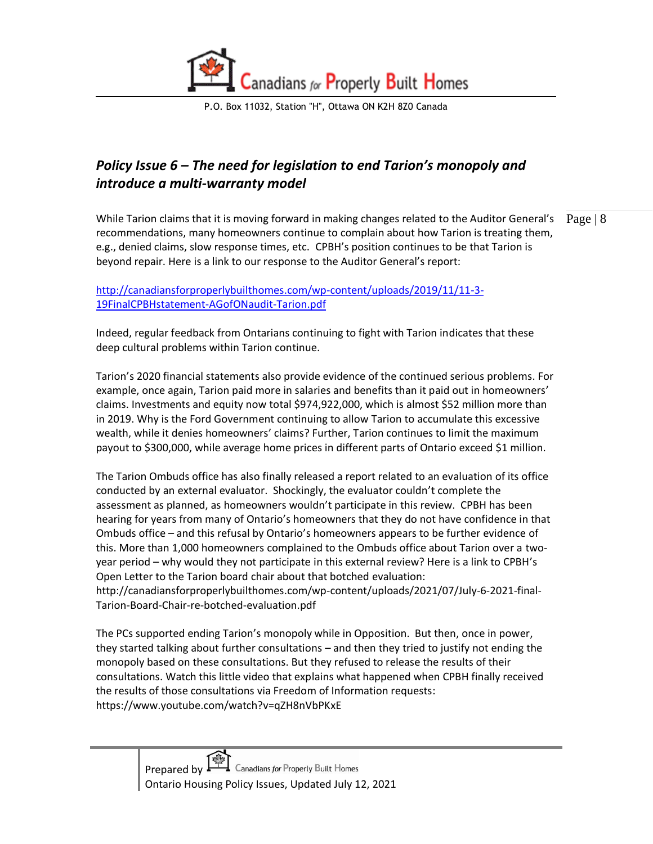

#### <span id="page-7-0"></span>*Policy Issue 6 – The need for legislation to end Tarion's monopoly and introduce a multi-warranty model*

While Tarion claims that it is moving forward in making changes related to the Auditor General's  $\|$  Page  $\|$  8 recommendations, many homeowners continue to complain about how Tarion is treating them, e.g., denied claims, slow response times, etc. CPBH's position continues to be that Tarion is beyond repair. Here is a link to our response to the Auditor General's report:

[http://canadiansforproperlybuilthomes.com/wp-content/uploads/2019/11/11-3-](http://canadiansforproperlybuilthomes.com/wp-content/uploads/2019/11/11-3-19FinalCPBHstatement-AGofONaudit-Tarion.pdf) [19FinalCPBHstatement-AGofONaudit-Tarion.pdf](http://canadiansforproperlybuilthomes.com/wp-content/uploads/2019/11/11-3-19FinalCPBHstatement-AGofONaudit-Tarion.pdf)

Indeed, regular feedback from Ontarians continuing to fight with Tarion indicates that these deep cultural problems within Tarion continue.

Tarion's 2020 financial statements also provide evidence of the continued serious problems. For example, once again, Tarion paid more in salaries and benefits than it paid out in homeowners' claims. Investments and equity now total \$974,922,000, which is almost \$52 million more than in 2019. Why is the Ford Government continuing to allow Tarion to accumulate this excessive wealth, while it denies homeowners' claims? Further, Tarion continues to limit the maximum payout to \$300,000, while average home prices in different parts of Ontario exceed \$1 million.

The Tarion Ombuds office has also finally released a report related to an evaluation of its office conducted by an external evaluator. Shockingly, the evaluator couldn't complete the assessment as planned, as homeowners wouldn't participate in this review. CPBH has been hearing for years from many of Ontario's homeowners that they do not have confidence in that Ombuds office – and this refusal by Ontario's homeowners appears to be further evidence of this. More than 1,000 homeowners complained to the Ombuds office about Tarion over a twoyear period – why would they not participate in this external review? Here is a link to CPBH's Open Letter to the Tarion board chair about that botched evaluation: http://canadiansforproperlybuilthomes.com/wp-content/uploads/2021/07/July-6-2021-final-Tarion-Board-Chair-re-botched-evaluation.pdf

The PCs supported ending Tarion's monopoly while in Opposition. But then, once in power, they started talking about further consultations – and then they tried to justify not ending the monopoly based on these consultations. But they refused to release the results of their consultations. Watch this little video that explains what happened when CPBH finally received the results of those consultations via Freedom of Information requests: https://www.youtube.com/watch?v=qZH8nVbPKxE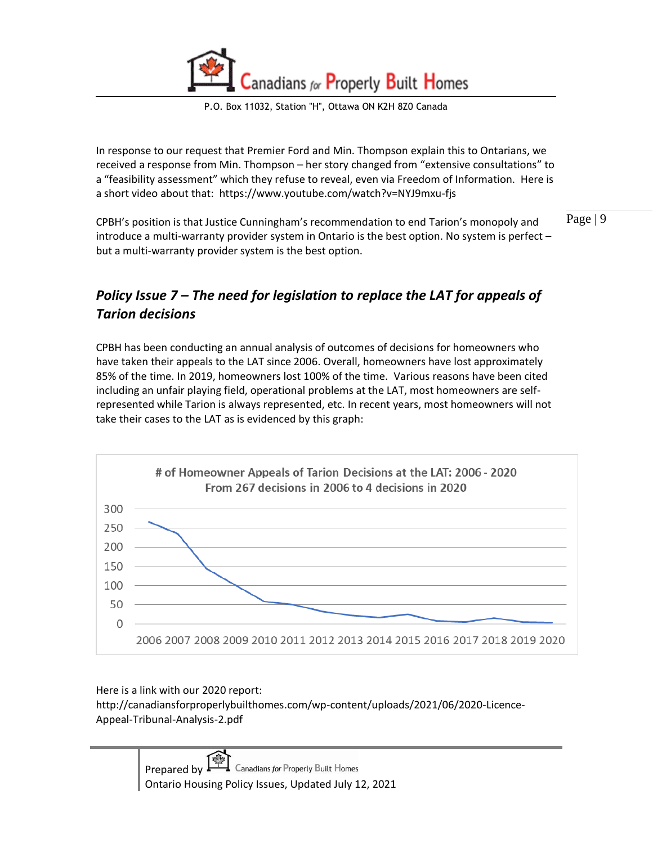P.O. Box 11032, Station "H", Ottawa ON K2H 8Z0 Canada

In response to our request that Premier Ford and Min. Thompson explain this to Ontarians, we received a response from Min. Thompson – her story changed from "extensive consultations" to a "feasibility assessment" which they refuse to reveal, even via Freedom of Information. Here is a short video about that: https://www.youtube.com/watch?v=NYJ9mxu-fjs

Page | 9 CPBH's position is that Justice Cunningham's recommendation to end Tarion's monopoly and introduce a multi-warranty provider system in Ontario is the best option. No system is perfect – but a multi-warranty provider system is the best option.

#### <span id="page-8-0"></span>*Policy Issue 7 – The need for legislation to replace the LAT for appeals of Tarion decisions*

CPBH has been conducting an annual analysis of outcomes of decisions for homeowners who have taken their appeals to the LAT since 2006. Overall, homeowners have lost approximately 85% of the time. In 2019, homeowners lost 100% of the time. Various reasons have been cited including an unfair playing field, operational problems at the LAT, most homeowners are selfrepresented while Tarion is always represented, etc. In recent years, most homeowners will not take their cases to the LAT as is evidenced by this graph:



Here is a link with our 2020 report:

http://canadiansforproperlybuilthomes.com/wp-content/uploads/2021/06/2020-Licence-Appeal-Tribunal-Analysis-2.pdf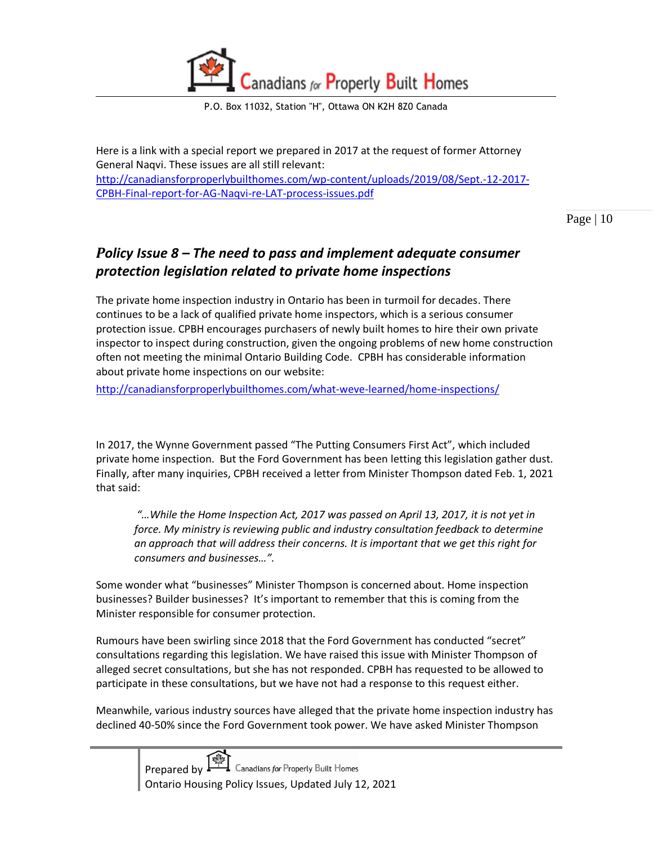

Here is a link with a special report we prepared in 2017 at the request of former Attorney General Naqvi. These issues are all still relevant: [http://canadiansforproperlybuilthomes.com/wp-content/uploads/2019/08/Sept.-12-2017-](http://canadiansforproperlybuilthomes.com/wp-content/uploads/2019/08/Sept.-12-2017-CPBH-Final-report-for-AG-Naqvi-re-LAT-process-issues.pdf) [CPBH-Final-report-for-AG-Naqvi-re-LAT-process-issues.pdf](http://canadiansforproperlybuilthomes.com/wp-content/uploads/2019/08/Sept.-12-2017-CPBH-Final-report-for-AG-Naqvi-re-LAT-process-issues.pdf)

Page | 10

#### <span id="page-9-0"></span>*Policy Issue 8 – The need to pass and implement adequate consumer protection legislation related to private home inspections*

The private home inspection industry in Ontario has been in turmoil for decades. There continues to be a lack of qualified private home inspectors, which is a serious consumer protection issue. CPBH encourages purchasers of newly built homes to hire their own private inspector to inspect during construction, given the ongoing problems of new home construction often not meeting the minimal Ontario Building Code. CPBH has considerable information about private home inspections on our website:

<http://canadiansforproperlybuilthomes.com/what-weve-learned/home-inspections/>

In 2017, the Wynne Government passed "The Putting Consumers First Act", which included private home inspection. But the Ford Government has been letting this legislation gather dust. Finally, after many inquiries, CPBH received a letter from Minister Thompson dated Feb. 1, 2021 that said:

*"…While the Home Inspection Act, 2017 was passed on April 13, 2017, it is not yet in force. My ministry is reviewing public and industry consultation feedback to determine an approach that will address their concerns. It is important that we get this right for consumers and businesses…".*

Some wonder what "businesses" Minister Thompson is concerned about. Home inspection businesses? Builder businesses? It's important to remember that this is coming from the Minister responsible for consumer protection.

Rumours have been swirling since 2018 that the Ford Government has conducted "secret" consultations regarding this legislation. We have raised this issue with Minister Thompson of alleged secret consultations, but she has not responded. CPBH has requested to be allowed to participate in these consultations, but we have not had a response to this request either.

Meanwhile, various industry sources have alleged that the private home inspection industry has declined 40-50% since the Ford Government took power. We have asked Minister Thompson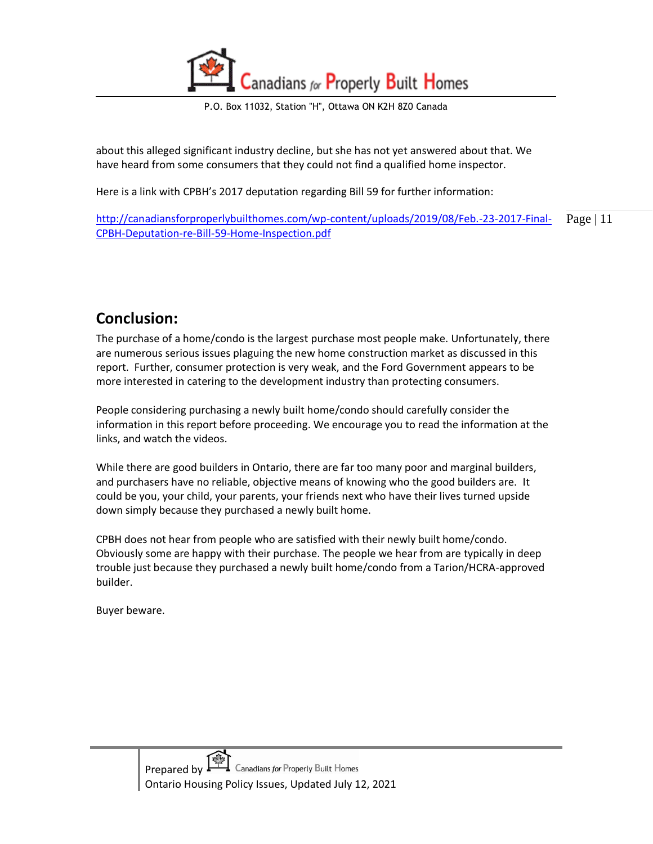P.O. Box 11032, Station "H", Ottawa ON K2H 8Z0 Canada

about this alleged significant industry decline, but she has not yet answered about that. We have heard from some consumers that they could not find a qualified home inspector.

Here is a link with CPBH's 2017 deputation regarding Bill 59 for further information:

Page | 11 [http://canadiansforproperlybuilthomes.com/wp-content/uploads/2019/08/Feb.-23-2017-Final-](http://canadiansforproperlybuilthomes.com/wp-content/uploads/2019/08/Feb.-23-2017-Final-CPBH-Deputation-re-Bill-59-Home-Inspection.pdf)[CPBH-Deputation-re-Bill-59-Home-Inspection.pdf](http://canadiansforproperlybuilthomes.com/wp-content/uploads/2019/08/Feb.-23-2017-Final-CPBH-Deputation-re-Bill-59-Home-Inspection.pdf)

## <span id="page-10-0"></span>**Conclusion:**

The purchase of a home/condo is the largest purchase most people make. Unfortunately, there are numerous serious issues plaguing the new home construction market as discussed in this report. Further, consumer protection is very weak, and the Ford Government appears to be more interested in catering to the development industry than protecting consumers.

People considering purchasing a newly built home/condo should carefully consider the information in this report before proceeding. We encourage you to read the information at the links, and watch the videos.

While there are good builders in Ontario, there are far too many poor and marginal builders, and purchasers have no reliable, objective means of knowing who the good builders are. It could be you, your child, your parents, your friends next who have their lives turned upside down simply because they purchased a newly built home.

CPBH does not hear from people who are satisfied with their newly built home/condo. Obviously some are happy with their purchase. The people we hear from are typically in deep trouble just because they purchased a newly built home/condo from a Tarion/HCRA-approved builder.

Buyer beware.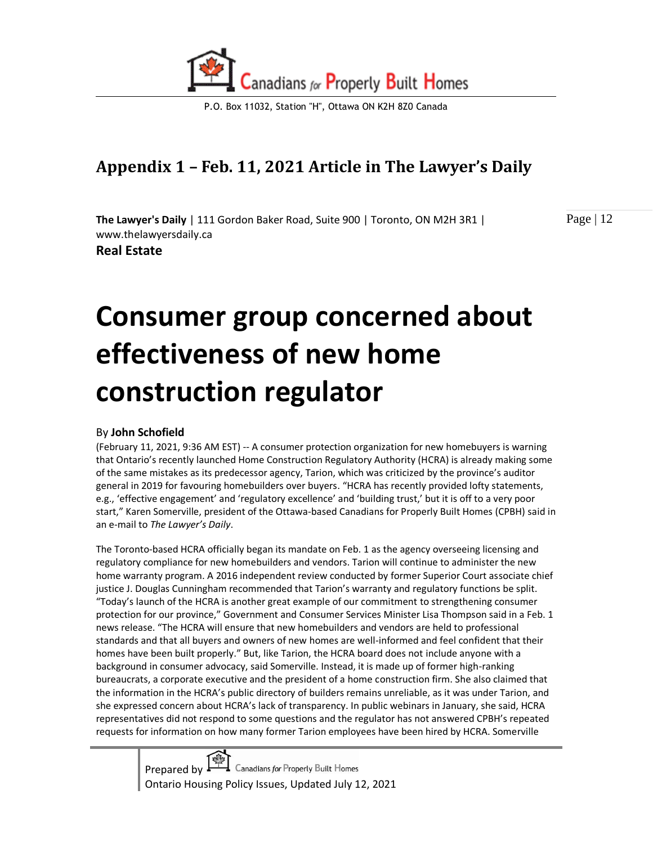

# <span id="page-11-0"></span>**Appendix 1 – Feb. 11, 2021 Article in The Lawyer's Daily**

**The Lawyer's Daily** | 111 Gordon Baker Road, Suite 900 | Toronto, ON M2H 3R1 | www.thelawyersdaily.ca

**Real Estate** 

Page | 12

# **Consumer group concerned about effectiveness of new home construction regulator**

#### By **John Schofield**

(February 11, 2021, 9:36 AM EST) -- A consumer protection organization for new homebuyers is warning that Ontario's recently launched Home Construction Regulatory Authority (HCRA) is already making some of the same mistakes as its predecessor agency, Tarion, which was criticized by the province's auditor general in 2019 for favouring homebuilders over buyers. "HCRA has recently provided lofty statements, e.g., 'effective engagement' and 'regulatory excellence' and 'building trust,' but it is off to a very poor start," Karen Somerville, president of the Ottawa-based Canadians for Properly Built Homes (CPBH) said in an e-mail to *The Lawyer's Daily*.

The Toronto-based HCRA officially began its mandate on Feb. 1 as the agency overseeing licensing and regulatory compliance for new homebuilders and vendors. Tarion will continue to administer the new home warranty program. A 2016 independent review conducted by former Superior Court associate chief justice J. Douglas Cunningham recommended that Tarion's warranty and regulatory functions be split. "Today's launch of the HCRA is another great example of our commitment to strengthening consumer protection for our province," Government and Consumer Services Minister Lisa Thompson said in a Feb. 1 news release. "The HCRA will ensure that new homebuilders and vendors are held to professional standards and that all buyers and owners of new homes are well-informed and feel confident that their homes have been built properly." But, like Tarion, the HCRA board does not include anyone with a background in consumer advocacy, said Somerville. Instead, it is made up of former high-ranking bureaucrats, a corporate executive and the president of a home construction firm. She also claimed that the information in the HCRA's public directory of builders remains unreliable, as it was under Tarion, and she expressed concern about HCRA's lack of transparency. In public webinars in January, she said, HCRA representatives did not respond to some questions and the regulator has not answered CPBH's repeated requests for information on how many former Tarion employees have been hired by HCRA. Somerville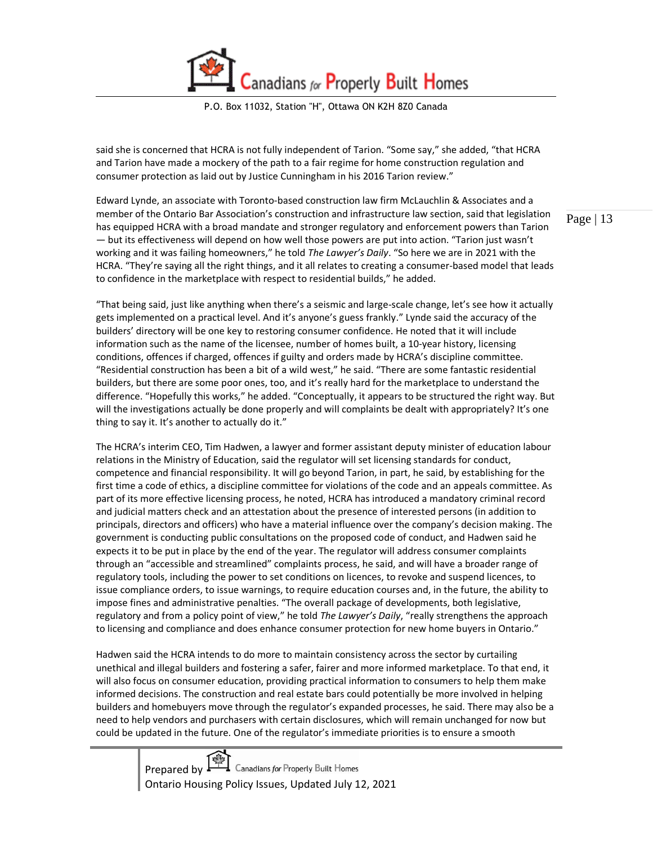P.O. Box 11032, Station "H", Ottawa ON K2H 8Z0 Canada

said she is concerned that HCRA is not fully independent of Tarion. "Some say," she added, "that HCRA and Tarion have made a mockery of the path to a fair regime for home construction regulation and consumer protection as laid out by Justice Cunningham in his 2016 Tarion review."

Edward Lynde, an associate with Toronto-based construction law firm McLauchlin & Associates and a member of the Ontario Bar Association's construction and infrastructure law section, said that legislation has equipped HCRA with a broad mandate and stronger regulatory and enforcement powers than Tarion — but its effectiveness will depend on how well those powers are put into action. "Tarion just wasn't working and it was failing homeowners," he told *The Lawyer's Daily*. "So here we are in 2021 with the HCRA. "They're saying all the right things, and it all relates to creating a consumer-based model that leads to confidence in the marketplace with respect to residential builds," he added.

"That being said, just like anything when there's a seismic and large-scale change, let's see how it actually gets implemented on a practical level. And it's anyone's guess frankly." Lynde said the accuracy of the builders' directory will be one key to restoring consumer confidence. He noted that it will include information such as the name of the licensee, number of homes built, a 10-year history, licensing conditions, offences if charged, offences if guilty and orders made by HCRA's discipline committee. "Residential construction has been a bit of a wild west," he said. "There are some fantastic residential builders, but there are some poor ones, too, and it's really hard for the marketplace to understand the difference. "Hopefully this works," he added. "Conceptually, it appears to be structured the right way. But will the investigations actually be done properly and will complaints be dealt with appropriately? It's one thing to say it. It's another to actually do it."

The HCRA's interim CEO, Tim Hadwen, a lawyer and former assistant deputy minister of education labour relations in the Ministry of Education, said the regulator will set licensing standards for conduct, competence and financial responsibility. It will go beyond Tarion, in part, he said, by establishing for the first time a code of ethics, a discipline committee for violations of the code and an appeals committee. As part of its more effective licensing process, he noted, HCRA has introduced a mandatory criminal record and judicial matters check and an attestation about the presence of interested persons (in addition to principals, directors and officers) who have a material influence over the company's decision making. The government is conducting public consultations on the proposed code of conduct, and Hadwen said he expects it to be put in place by the end of the year. The regulator will address consumer complaints through an "accessible and streamlined" complaints process, he said, and will have a broader range of regulatory tools, including the power to set conditions on licences, to revoke and suspend licences, to issue compliance orders, to issue warnings, to require education courses and, in the future, the ability to impose fines and administrative penalties. "The overall package of developments, both legislative, regulatory and from a policy point of view," he told *The Lawyer's Daily*, "really strengthens the approach to licensing and compliance and does enhance consumer protection for new home buyers in Ontario."

Hadwen said the HCRA intends to do more to maintain consistency across the sector by curtailing unethical and illegal builders and fostering a safer, fairer and more informed marketplace. To that end, it will also focus on consumer education, providing practical information to consumers to help them make informed decisions. The construction and real estate bars could potentially be more involved in helping builders and homebuyers move through the regulator's expanded processes, he said. There may also be a need to help vendors and purchasers with certain disclosures, which will remain unchanged for now but could be updated in the future. One of the regulator's immediate priorities is to ensure a smooth

> Prepared by  $\overbrace{\phantom{H^{2}$  Canadians for Properly Built Homes Ontario Housing Policy Issues, Updated July 12, 2021

Page | 13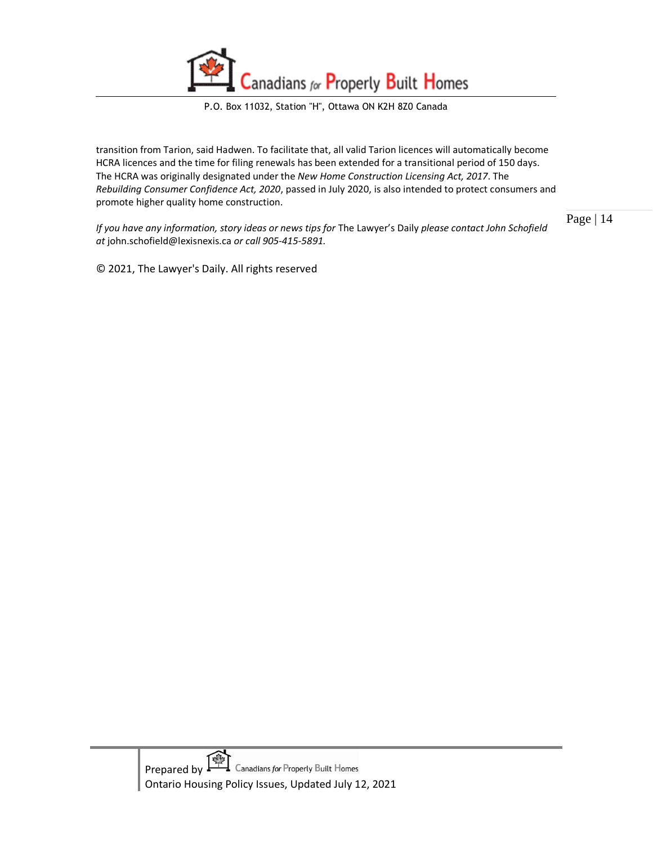

transition from Tarion, said Hadwen. To facilitate that, all valid Tarion licences will automatically become HCRA licences and the time for filing renewals has been extended for a transitional period of 150 days. The HCRA was originally designated under the *New Home Construction Licensing Act, 2017*. The *Rebuilding Consumer Confidence Act, 2020*, passed in July 2020, is also intended to protect consumers and promote higher quality home construction.

*If you have any information, story ideas or news tips for* The Lawyer's Daily *please contact John Schofield at* john.schofield@lexisnexis.ca *or call 905-415-5891.* 

© 2021, The Lawyer's Daily. All rights reserved

Page | 14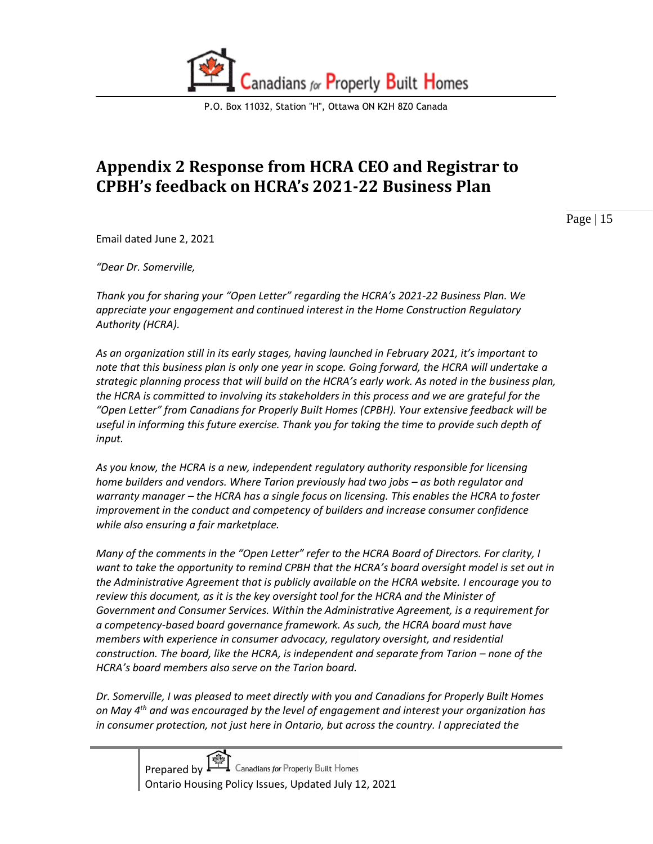

# <span id="page-14-0"></span>**Appendix 2 Response from HCRA CEO and Registrar to CPBH's feedback on HCRA's 2021-22 Business Plan**

Page | 15

Email dated June 2, 2021

*"Dear Dr. Somerville,*

*Thank you for sharing your "Open Letter" regarding the HCRA's 2021-22 Business Plan. We appreciate your engagement and continued interest in the Home Construction Regulatory Authority (HCRA).* 

*As an organization still in its early stages, having launched in February 2021, it's important to note that this business plan is only one year in scope. Going forward, the HCRA will undertake a strategic planning process that will build on the HCRA's early work. As noted in the business plan, the HCRA is committed to involving its stakeholders in this process and we are grateful for the "Open Letter" from Canadians for Properly Built Homes (CPBH). Your extensive feedback will be useful in informing this future exercise. Thank you for taking the time to provide such depth of input.* 

*As you know, the HCRA is a new, independent regulatory authority responsible for licensing home builders and vendors. Where Tarion previously had two jobs – as both regulator and warranty manager – the HCRA has a single focus on licensing. This enables the HCRA to foster improvement in the conduct and competency of builders and increase consumer confidence while also ensuring a fair marketplace.*

*Many of the comments in the "Open Letter" refer to the HCRA Board of Directors. For clarity, I want to take the opportunity to remind CPBH that the HCRA's board oversight model is set out in the Administrative Agreement that is publicly available on the HCRA website. I encourage you to review this document, as it is the key oversight tool for the HCRA and the Minister of Government and Consumer Services. Within the Administrative Agreement, is a requirement for a competency-based board governance framework. As such, the HCRA board must have members with experience in consumer advocacy, regulatory oversight, and residential construction. The board, like the HCRA, is independent and separate from Tarion – none of the HCRA's board members also serve on the Tarion board.*

*Dr. Somerville, I was pleased to meet directly with you and Canadians for Properly Built Homes on May 4th and was encouraged by the level of engagement and interest your organization has in consumer protection, not just here in Ontario, but across the country. I appreciated the*